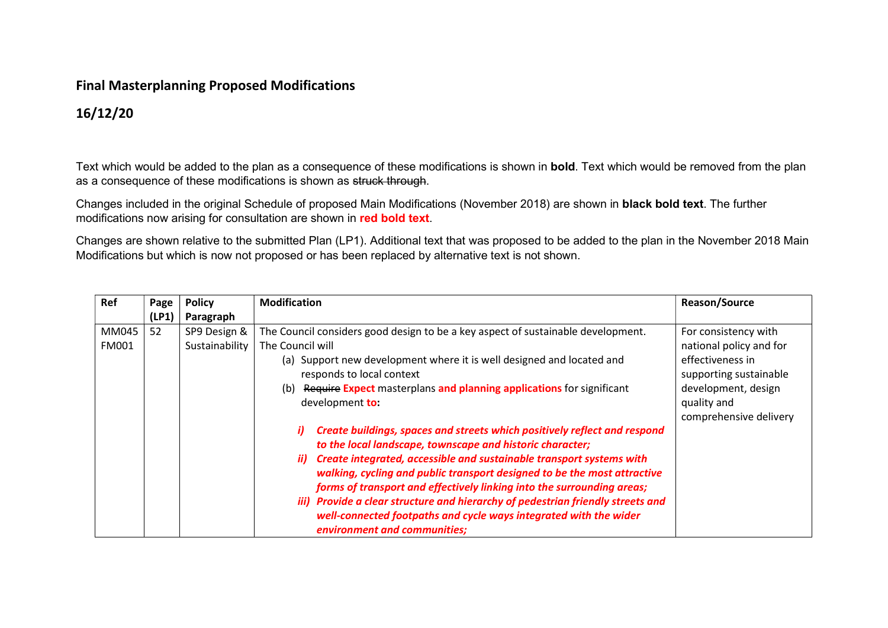## Final Masterplanning Proposed Modifications

## 16/12/20

Text which would be added to the plan as a consequence of these modifications is shown in **bold**. Text which would be removed from the plan as a consequence of these modifications is shown as struck through.

Changes included in the original Schedule of proposed Main Modifications (November 2018) are shown in black bold text. The further modifications now arising for consultation are shown in red bold text.

Changes are shown relative to the submitted Plan (LP1). Additional text that was proposed to be added to the plan in the November 2018 Main Modifications but which is now not proposed or has been replaced by alternative text is not shown.

| Ref   | Page  | <b>Policy</b>  | <b>Modification</b>                                                                                                                                                                                                                                                                                                                                                                                                                                                                                                                                                       | <b>Reason/Source</b>                                                                                       |
|-------|-------|----------------|---------------------------------------------------------------------------------------------------------------------------------------------------------------------------------------------------------------------------------------------------------------------------------------------------------------------------------------------------------------------------------------------------------------------------------------------------------------------------------------------------------------------------------------------------------------------------|------------------------------------------------------------------------------------------------------------|
|       | (LP1) | Paragraph      |                                                                                                                                                                                                                                                                                                                                                                                                                                                                                                                                                                           |                                                                                                            |
| MM045 | 52    | SP9 Design &   | The Council considers good design to be a key aspect of sustainable development.                                                                                                                                                                                                                                                                                                                                                                                                                                                                                          | For consistency with                                                                                       |
| FM001 |       | Sustainability | The Council will                                                                                                                                                                                                                                                                                                                                                                                                                                                                                                                                                          | national policy and for                                                                                    |
|       |       |                | (a) Support new development where it is well designed and located and<br>responds to local context<br>Require Expect masterplans and planning applications for significant<br>(b)<br>development to:                                                                                                                                                                                                                                                                                                                                                                      | effectiveness in<br>supporting sustainable<br>development, design<br>quality and<br>comprehensive delivery |
|       |       |                | Create buildings, spaces and streets which positively reflect and respond<br>i)<br>to the local landscape, townscape and historic character;<br>Create integrated, accessible and sustainable transport systems with<br>ii)<br>walking, cycling and public transport designed to be the most attractive<br>forms of transport and effectively linking into the surrounding areas;<br>iii) Provide a clear structure and hierarchy of pedestrian friendly streets and<br>well-connected footpaths and cycle ways integrated with the wider<br>environment and communities; |                                                                                                            |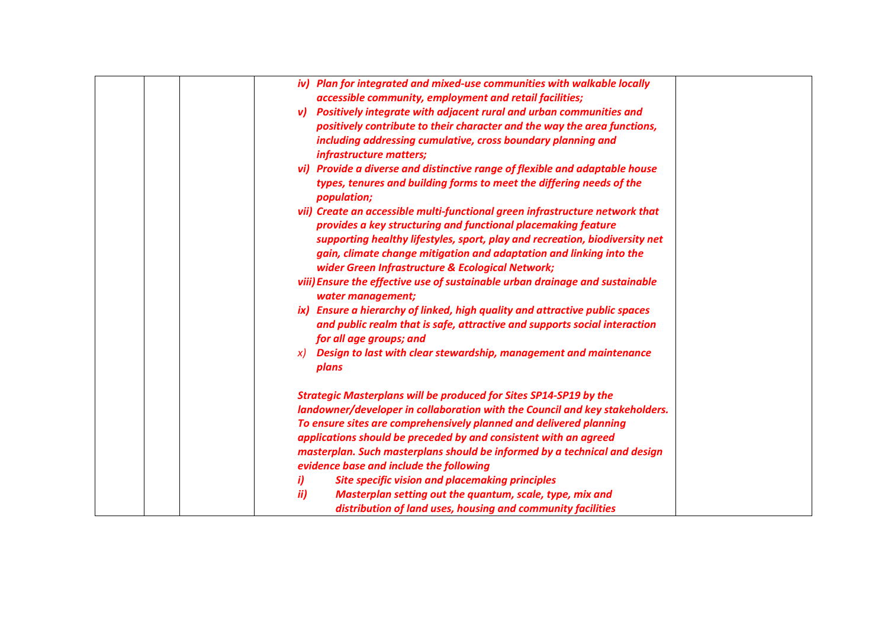|  | iv) Plan for integrated and mixed-use communities with walkable locally                              |
|--|------------------------------------------------------------------------------------------------------|
|  | accessible community, employment and retail facilities;                                              |
|  | v) Positively integrate with adjacent rural and urban communities and                                |
|  | positively contribute to their character and the way the area functions,                             |
|  | including addressing cumulative, cross boundary planning and<br>infrastructure matters;              |
|  | vi) Provide a diverse and distinctive range of flexible and adaptable house                          |
|  | types, tenures and building forms to meet the differing needs of the<br>population;                  |
|  | vii) Create an accessible multi-functional green infrastructure network that                         |
|  | provides a key structuring and functional placemaking feature                                        |
|  | supporting healthy lifestyles, sport, play and recreation, biodiversity net                          |
|  | gain, climate change mitigation and adaptation and linking into the                                  |
|  | wider Green Infrastructure & Ecological Network;                                                     |
|  | viii) Ensure the effective use of sustainable urban drainage and sustainable                         |
|  | water management;                                                                                    |
|  | ix) Ensure a hierarchy of linked, high quality and attractive public spaces                          |
|  | and public realm that is safe, attractive and supports social interaction<br>for all age groups; and |
|  | Design to last with clear stewardship, management and maintenance<br>$\chi$                          |
|  | plans                                                                                                |
|  | <b>Strategic Masterplans will be produced for Sites SP14-SP19 by the</b>                             |
|  | landowner/developer in collaboration with the Council and key stakeholders.                          |
|  | To ensure sites are comprehensively planned and delivered planning                                   |
|  | applications should be preceded by and consistent with an agreed                                     |
|  | masterplan. Such masterplans should be informed by a technical and design                            |
|  | evidence base and include the following                                                              |
|  | i)<br><b>Site specific vision and placemaking principles</b>                                         |
|  | ii)<br>Masterplan setting out the quantum, scale, type, mix and                                      |
|  | distribution of land uses, housing and community facilities                                          |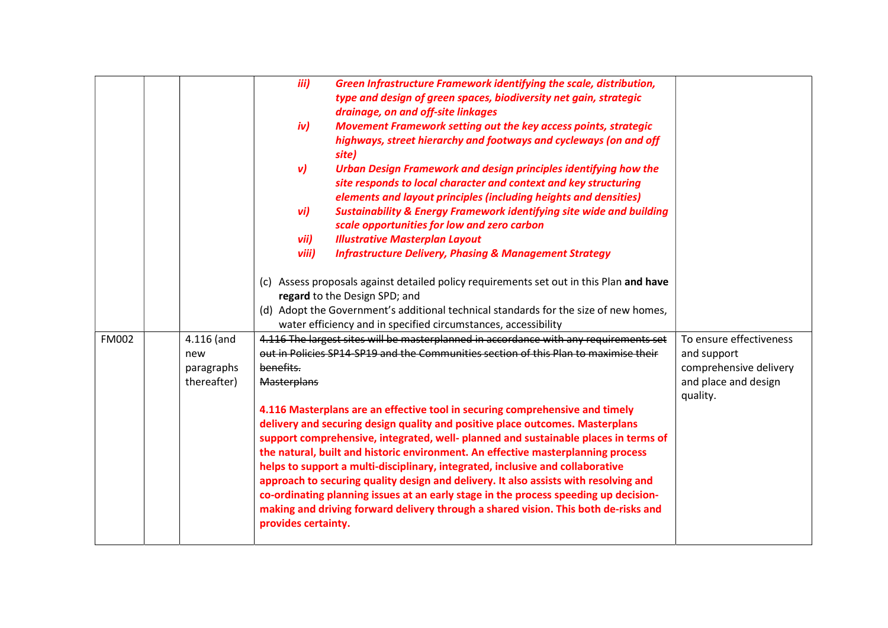|              |              | iii)<br>Green Infrastructure Framework identifying the scale, distribution,                                                                                                                                                                                                        |                         |
|--------------|--------------|------------------------------------------------------------------------------------------------------------------------------------------------------------------------------------------------------------------------------------------------------------------------------------|-------------------------|
|              |              | type and design of green spaces, biodiversity net gain, strategic                                                                                                                                                                                                                  |                         |
|              |              | drainage, on and off-site linkages                                                                                                                                                                                                                                                 |                         |
|              |              | iv)<br>Movement Framework setting out the key access points, strategic                                                                                                                                                                                                             |                         |
|              |              | highways, street hierarchy and footways and cycleways (on and off<br>site)                                                                                                                                                                                                         |                         |
|              |              | $\mathsf{v}$<br>Urban Design Framework and design principles identifying how the<br>site responds to local character and context and key structuring                                                                                                                               |                         |
|              |              | elements and layout principles (including heights and densities)                                                                                                                                                                                                                   |                         |
|              |              | vi)<br><b>Sustainability &amp; Energy Framework identifying site wide and building</b>                                                                                                                                                                                             |                         |
|              |              | scale opportunities for low and zero carbon                                                                                                                                                                                                                                        |                         |
|              |              | vii)<br><b>Illustrative Masterplan Layout</b>                                                                                                                                                                                                                                      |                         |
|              |              | viii)<br><b>Infrastructure Delivery, Phasing &amp; Management Strategy</b>                                                                                                                                                                                                         |                         |
|              |              | (c) Assess proposals against detailed policy requirements set out in this Plan and have<br>regard to the Design SPD; and<br>(d) Adopt the Government's additional technical standards for the size of new homes,<br>water efficiency and in specified circumstances, accessibility |                         |
| <b>FM002</b> | $4.116$ (and | 4.116 The largest sites will be masterplanned in accordance with any requirements set                                                                                                                                                                                              | To ensure effectiveness |
|              | new          | out in Policies SP14-SP19 and the Communities section of this Plan to maximise their                                                                                                                                                                                               | and support             |
|              | paragraphs   | benefits.                                                                                                                                                                                                                                                                          | comprehensive delivery  |
|              | thereafter)  | <b>Masterplans</b>                                                                                                                                                                                                                                                                 | and place and design    |
|              |              |                                                                                                                                                                                                                                                                                    | quality.                |
|              |              | 4.116 Masterplans are an effective tool in securing comprehensive and timely                                                                                                                                                                                                       |                         |
|              |              | delivery and securing design quality and positive place outcomes. Masterplans                                                                                                                                                                                                      |                         |
|              |              | support comprehensive, integrated, well- planned and sustainable places in terms of<br>the natural, built and historic environment. An effective masterplanning process                                                                                                            |                         |
|              |              | helps to support a multi-disciplinary, integrated, inclusive and collaborative                                                                                                                                                                                                     |                         |
|              |              | approach to securing quality design and delivery. It also assists with resolving and                                                                                                                                                                                               |                         |
|              |              | co-ordinating planning issues at an early stage in the process speeding up decision-                                                                                                                                                                                               |                         |
|              |              | making and driving forward delivery through a shared vision. This both de-risks and<br>provides certainty.                                                                                                                                                                         |                         |
|              |              |                                                                                                                                                                                                                                                                                    |                         |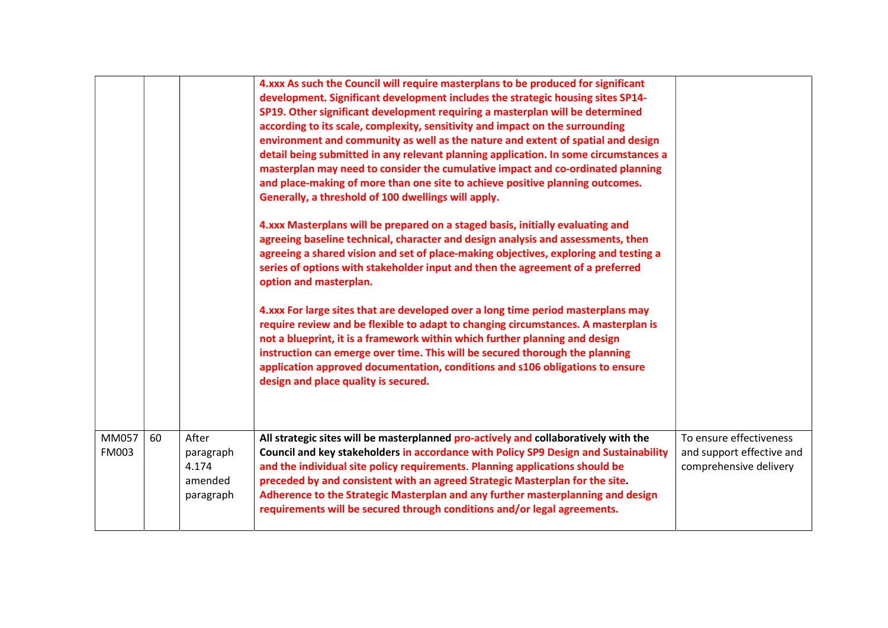| instruction can emerge over time. This will be secured thorough the planning |                       |    |                                                     | 4.xxx As such the Council will require masterplans to be produced for significant<br>development. Significant development includes the strategic housing sites SP14-<br>SP19. Other significant development requiring a masterplan will be determined<br>according to its scale, complexity, sensitivity and impact on the surrounding<br>environment and community as well as the nature and extent of spatial and design<br>detail being submitted in any relevant planning application. In some circumstances a<br>masterplan may need to consider the cumulative impact and co-ordinated planning<br>and place-making of more than one site to achieve positive planning outcomes.<br>Generally, a threshold of 100 dwellings will apply.<br>4.xxx Masterplans will be prepared on a staged basis, initially evaluating and<br>agreeing baseline technical, character and design analysis and assessments, then<br>agreeing a shared vision and set of place-making objectives, exploring and testing a<br>series of options with stakeholder input and then the agreement of a preferred<br>option and masterplan.<br>4.xxx For large sites that are developed over a long time period masterplans may<br>require review and be flexible to adapt to changing circumstances. A masterplan is<br>not a blueprint, it is a framework within which further planning and design |                                                                                |
|------------------------------------------------------------------------------|-----------------------|----|-----------------------------------------------------|----------------------------------------------------------------------------------------------------------------------------------------------------------------------------------------------------------------------------------------------------------------------------------------------------------------------------------------------------------------------------------------------------------------------------------------------------------------------------------------------------------------------------------------------------------------------------------------------------------------------------------------------------------------------------------------------------------------------------------------------------------------------------------------------------------------------------------------------------------------------------------------------------------------------------------------------------------------------------------------------------------------------------------------------------------------------------------------------------------------------------------------------------------------------------------------------------------------------------------------------------------------------------------------------------------------------------------------------------------------------------------|--------------------------------------------------------------------------------|
|                                                                              | MM057<br><b>FM003</b> | 60 | After<br>paragraph<br>4.174<br>amended<br>paragraph | All strategic sites will be masterplanned pro-actively and collaboratively with the<br>Council and key stakeholders in accordance with Policy SP9 Design and Sustainability<br>and the individual site policy requirements. Planning applications should be<br>preceded by and consistent with an agreed Strategic Masterplan for the site.<br>Adherence to the Strategic Masterplan and any further masterplanning and design<br>requirements will be secured through conditions and/or legal agreements.                                                                                                                                                                                                                                                                                                                                                                                                                                                                                                                                                                                                                                                                                                                                                                                                                                                                       | To ensure effectiveness<br>and support effective and<br>comprehensive delivery |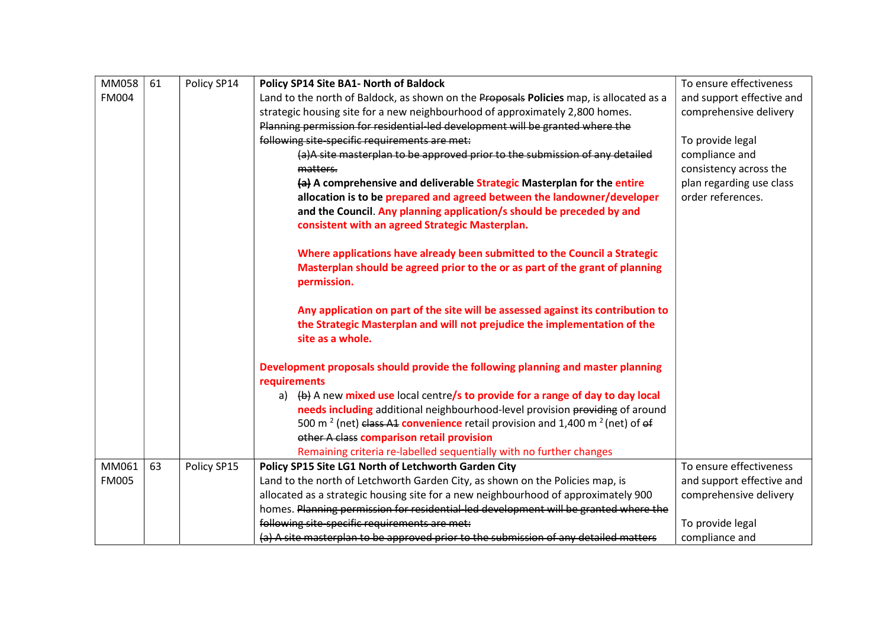| MM058        | 61 | Policy SP14 | Policy SP14 Site BA1- North of Baldock                                                                    | To ensure effectiveness   |
|--------------|----|-------------|-----------------------------------------------------------------------------------------------------------|---------------------------|
| <b>FM004</b> |    |             | Land to the north of Baldock, as shown on the Proposals Policies map, is allocated as a                   | and support effective and |
|              |    |             | strategic housing site for a new neighbourhood of approximately 2,800 homes.                              | comprehensive delivery    |
|              |    |             | Planning permission for residential-led development will be granted where the                             |                           |
|              |    |             | following site-specific requirements are met:                                                             | To provide legal          |
|              |    |             | (a)A site masterplan to be approved prior to the submission of any detailed                               | compliance and            |
|              |    |             | matters.                                                                                                  | consistency across the    |
|              |    |             | (a) A comprehensive and deliverable Strategic Masterplan for the entire                                   | plan regarding use class  |
|              |    |             | allocation is to be prepared and agreed between the landowner/developer                                   | order references.         |
|              |    |             | and the Council. Any planning application/s should be preceded by and                                     |                           |
|              |    |             | consistent with an agreed Strategic Masterplan.                                                           |                           |
|              |    |             | Where applications have already been submitted to the Council a Strategic                                 |                           |
|              |    |             | Masterplan should be agreed prior to the or as part of the grant of planning                              |                           |
|              |    |             | permission.                                                                                               |                           |
|              |    |             |                                                                                                           |                           |
|              |    |             | Any application on part of the site will be assessed against its contribution to                          |                           |
|              |    |             | the Strategic Masterplan and will not prejudice the implementation of the                                 |                           |
|              |    |             | site as a whole.                                                                                          |                           |
|              |    |             | Development proposals should provide the following planning and master planning                           |                           |
|              |    |             | requirements                                                                                              |                           |
|              |    |             | a) $\left(\frac{b}{b}\right)$ A new mixed use local centre/s to provide for a range of day to day local   |                           |
|              |    |             | needs including additional neighbourhood-level provision providing of around                              |                           |
|              |    |             | 500 m <sup>2</sup> (net) class A1 convenience retail provision and 1,400 m <sup>2</sup> (net) of $\theta$ |                           |
|              |    |             | other A class comparison retail provision                                                                 |                           |
|              |    |             | Remaining criteria re-labelled sequentially with no further changes                                       |                           |
| MM061        | 63 | Policy SP15 | Policy SP15 Site LG1 North of Letchworth Garden City                                                      | To ensure effectiveness   |
| <b>FM005</b> |    |             | Land to the north of Letchworth Garden City, as shown on the Policies map, is                             | and support effective and |
|              |    |             | allocated as a strategic housing site for a new neighbourhood of approximately 900                        | comprehensive delivery    |
|              |    |             | homes. Planning permission for residential-led development will be granted where the                      |                           |
|              |    |             | following site-specific requirements are met:                                                             | To provide legal          |
|              |    |             | (a) A site masterplan to be approved prior to the submission of any detailed matters                      | compliance and            |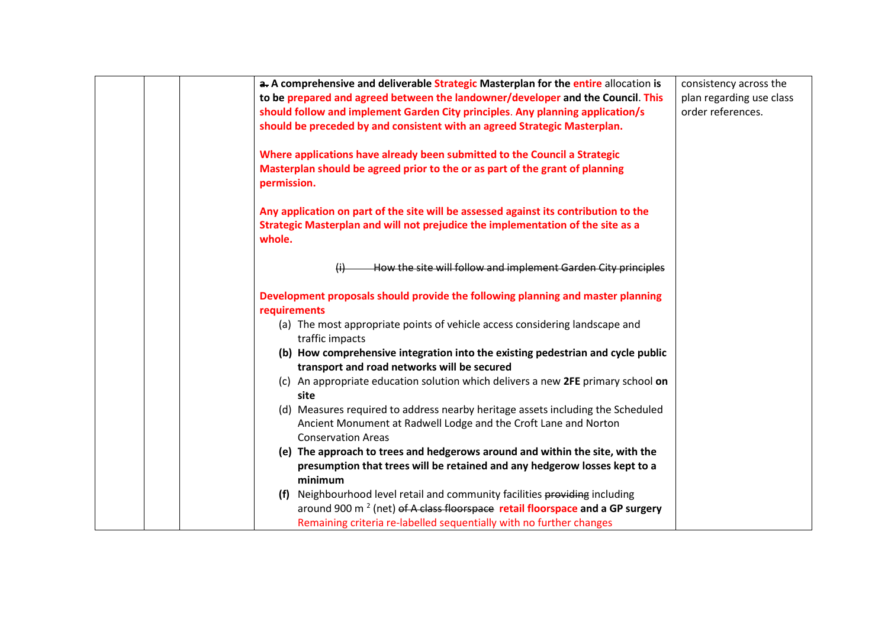| a. A comprehensive and deliverable Strategic Masterplan for the entire allocation is     | consistency across the   |
|------------------------------------------------------------------------------------------|--------------------------|
| to be prepared and agreed between the landowner/developer and the Council. This          | plan regarding use class |
| should follow and implement Garden City principles. Any planning application/s           | order references.        |
| should be preceded by and consistent with an agreed Strategic Masterplan.                |                          |
|                                                                                          |                          |
| Where applications have already been submitted to the Council a Strategic                |                          |
| Masterplan should be agreed prior to the or as part of the grant of planning             |                          |
| permission.                                                                              |                          |
| Any application on part of the site will be assessed against its contribution to the     |                          |
| Strategic Masterplan and will not prejudice the implementation of the site as a          |                          |
| whole.                                                                                   |                          |
|                                                                                          |                          |
| How the site will follow and implement Garden City principles<br>$\mathbf{H}$            |                          |
| Development proposals should provide the following planning and master planning          |                          |
| requirements                                                                             |                          |
| (a) The most appropriate points of vehicle access considering landscape and              |                          |
| traffic impacts                                                                          |                          |
| (b) How comprehensive integration into the existing pedestrian and cycle public          |                          |
| transport and road networks will be secured                                              |                          |
| (c) An appropriate education solution which delivers a new 2FE primary school on         |                          |
| site                                                                                     |                          |
| (d) Measures required to address nearby heritage assets including the Scheduled          |                          |
| Ancient Monument at Radwell Lodge and the Croft Lane and Norton                          |                          |
| <b>Conservation Areas</b>                                                                |                          |
| (e) The approach to trees and hedgerows around and within the site, with the             |                          |
| presumption that trees will be retained and any hedgerow losses kept to a                |                          |
| minimum                                                                                  |                          |
| (f) Neighbourhood level retail and community facilities providing including              |                          |
| around 900 m <sup>2</sup> (net) of A class floorspace retail floorspace and a GP surgery |                          |
| Remaining criteria re-labelled sequentially with no further changes                      |                          |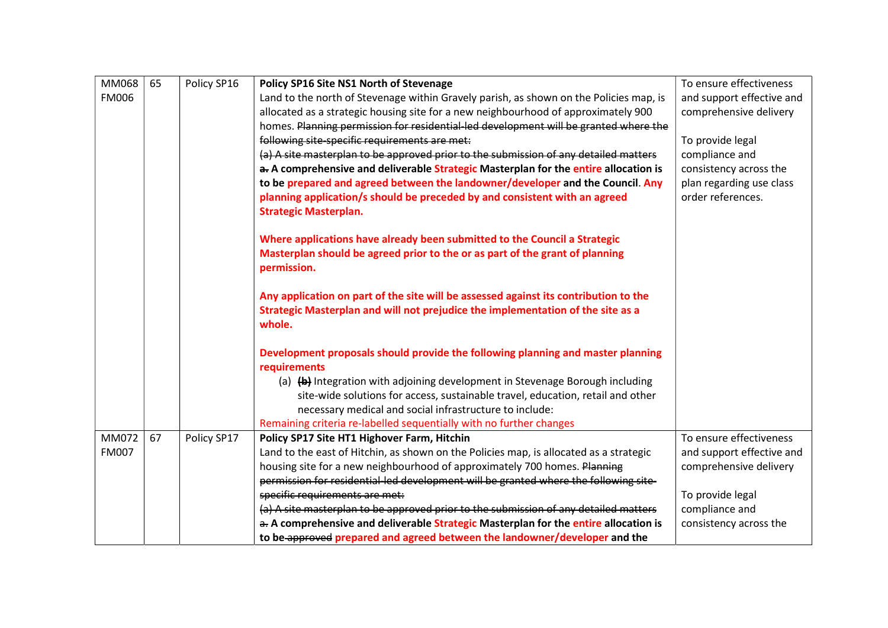| MM068        | 65 | Policy SP16 | Policy SP16 Site NS1 North of Stevenage                                                | To ensure effectiveness                       |
|--------------|----|-------------|----------------------------------------------------------------------------------------|-----------------------------------------------|
| <b>FM006</b> |    |             | Land to the north of Stevenage within Gravely parish, as shown on the Policies map, is | and support effective and                     |
|              |    |             | allocated as a strategic housing site for a new neighbourhood of approximately 900     | comprehensive delivery                        |
|              |    |             | homes. Planning permission for residential led development will be granted where the   |                                               |
|              |    |             | following site-specific requirements are met:                                          | To provide legal                              |
|              |    |             | (a) A site masterplan to be approved prior to the submission of any detailed matters   | compliance and                                |
|              |    |             | a. A comprehensive and deliverable Strategic Masterplan for the entire allocation is   | consistency across the                        |
|              |    |             |                                                                                        |                                               |
|              |    |             | to be prepared and agreed between the landowner/developer and the Council. Any         | plan regarding use class<br>order references. |
|              |    |             | planning application/s should be preceded by and consistent with an agreed             |                                               |
|              |    |             | <b>Strategic Masterplan.</b>                                                           |                                               |
|              |    |             | Where applications have already been submitted to the Council a Strategic              |                                               |
|              |    |             | Masterplan should be agreed prior to the or as part of the grant of planning           |                                               |
|              |    |             | permission.                                                                            |                                               |
|              |    |             |                                                                                        |                                               |
|              |    |             | Any application on part of the site will be assessed against its contribution to the   |                                               |
|              |    |             | Strategic Masterplan and will not prejudice the implementation of the site as a        |                                               |
|              |    |             | whole.                                                                                 |                                               |
|              |    |             |                                                                                        |                                               |
|              |    |             | Development proposals should provide the following planning and master planning        |                                               |
|              |    |             | requirements                                                                           |                                               |
|              |    |             | (a) (b) Integration with adjoining development in Stevenage Borough including          |                                               |
|              |    |             | site-wide solutions for access, sustainable travel, education, retail and other        |                                               |
|              |    |             | necessary medical and social infrastructure to include:                                |                                               |
|              |    |             | Remaining criteria re-labelled sequentially with no further changes                    |                                               |
| MM072        | 67 | Policy SP17 | Policy SP17 Site HT1 Highover Farm, Hitchin                                            | To ensure effectiveness                       |
| <b>FM007</b> |    |             | Land to the east of Hitchin, as shown on the Policies map, is allocated as a strategic | and support effective and                     |
|              |    |             | housing site for a new neighbourhood of approximately 700 homes. Planning              | comprehensive delivery                        |
|              |    |             | permission for residential-led development will be granted where the following site-   |                                               |
|              |    |             | specific requirements are met:                                                         | To provide legal                              |
|              |    |             | (a) A site masterplan to be approved prior to the submission of any detailed matters   | compliance and                                |
|              |    |             | a. A comprehensive and deliverable Strategic Masterplan for the entire allocation is   | consistency across the                        |
|              |    |             | to be approved prepared and agreed between the landowner/developer and the             |                                               |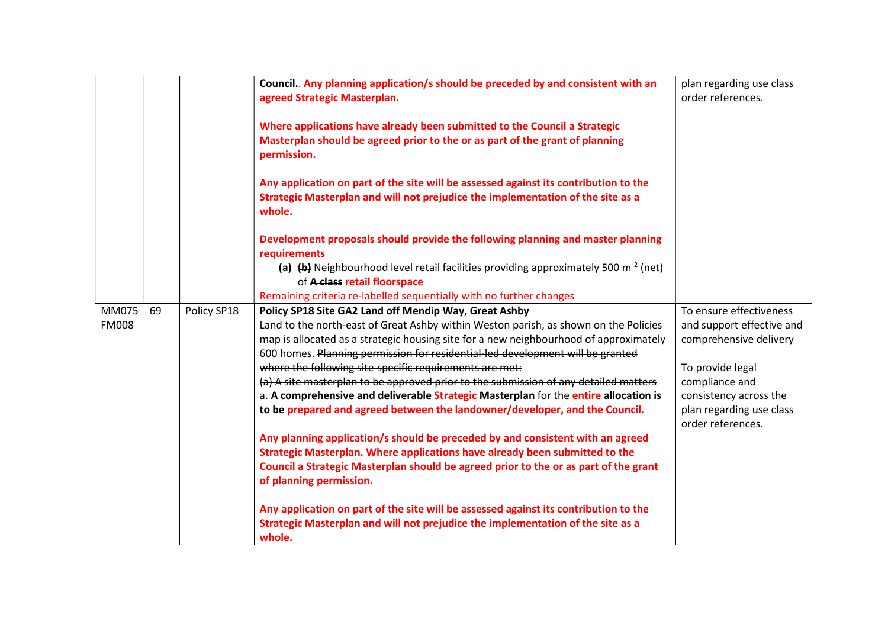|                       |    |             | Council.- Any planning application/s should be preceded by and consistent with an<br>agreed Strategic Masterplan.                                                                                                                                                                                                        | plan regarding use class<br>order references.                                  |
|-----------------------|----|-------------|--------------------------------------------------------------------------------------------------------------------------------------------------------------------------------------------------------------------------------------------------------------------------------------------------------------------------|--------------------------------------------------------------------------------|
|                       |    |             | Where applications have already been submitted to the Council a Strategic<br>Masterplan should be agreed prior to the or as part of the grant of planning<br>permission.                                                                                                                                                 |                                                                                |
|                       |    |             | Any application on part of the site will be assessed against its contribution to the<br>Strategic Masterplan and will not prejudice the implementation of the site as a<br>whole.                                                                                                                                        |                                                                                |
|                       |    |             | Development proposals should provide the following planning and master planning<br>requirements                                                                                                                                                                                                                          |                                                                                |
|                       |    |             | (a) $\left(\frac{b}{b}\right)$ Neighbourhood level retail facilities providing approximately 500 m <sup>2</sup> (net)<br>of A class retail floorspace                                                                                                                                                                    |                                                                                |
|                       |    |             | Remaining criteria re-labelled sequentially with no further changes                                                                                                                                                                                                                                                      |                                                                                |
| MM075<br><b>FM008</b> | 69 | Policy SP18 | Policy SP18 Site GA2 Land off Mendip Way, Great Ashby<br>Land to the north-east of Great Ashby within Weston parish, as shown on the Policies<br>map is allocated as a strategic housing site for a new neighbourhood of approximately<br>600 homes. Planning permission for residential-led development will be granted | To ensure effectiveness<br>and support effective and<br>comprehensive delivery |
|                       |    |             | where the following site-specific requirements are met:                                                                                                                                                                                                                                                                  | To provide legal                                                               |
|                       |    |             | (a) A site masterplan to be approved prior to the submission of any detailed matters                                                                                                                                                                                                                                     | compliance and                                                                 |
|                       |    |             | a. A comprehensive and deliverable Strategic Masterplan for the entire allocation is                                                                                                                                                                                                                                     | consistency across the                                                         |
|                       |    |             | to be prepared and agreed between the landowner/developer, and the Council.                                                                                                                                                                                                                                              | plan regarding use class<br>order references.                                  |
|                       |    |             | Any planning application/s should be preceded by and consistent with an agreed<br>Strategic Masterplan. Where applications have already been submitted to the<br>Council a Strategic Masterplan should be agreed prior to the or as part of the grant<br>of planning permission.                                         |                                                                                |
|                       |    |             | Any application on part of the site will be assessed against its contribution to the<br>Strategic Masterplan and will not prejudice the implementation of the site as a<br>whole.                                                                                                                                        |                                                                                |